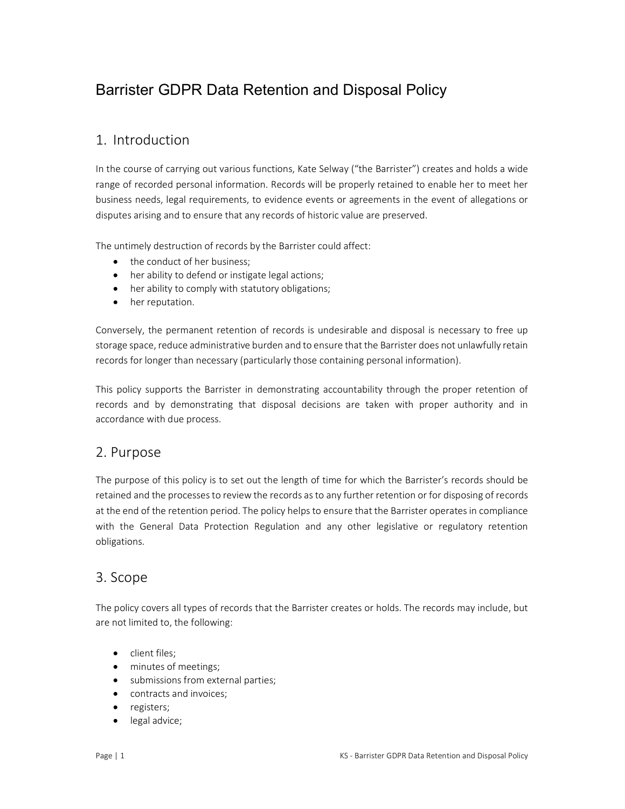# Barrister GDPR Data Retention and Disposal Policy

## 1. Introduction

In the course of carrying out various functions, Kate Selway ("the Barrister") creates and holds a wide range of recorded personal information. Records will be properly retained to enable her to meet her business needs, legal requirements, to evidence events or agreements in the event of allegations or disputes arising and to ensure that any records of historic value are preserved.

The untimely destruction of records by the Barrister could affect:

- the conduct of her business:
- her ability to defend or instigate legal actions;
- her ability to comply with statutory obligations;
- her reputation.

Conversely, the permanent retention of records is undesirable and disposal is necessary to free up storage space, reduce administrative burden and to ensure that the Barrister does not unlawfully retain records for longer than necessary (particularly those containing personal information).

This policy supports the Barrister in demonstrating accountability through the proper retention of records and by demonstrating that disposal decisions are taken with proper authority and in accordance with due process.

### 2. Purpose

The purpose of this policy is to set out the length of time for which the Barrister's records should be retained and the processes to review the records as to any further retention or for disposing of records at the end of the retention period. The policy helps to ensure that the Barrister operates in compliance with the General Data Protection Regulation and any other legislative or regulatory retention obligations.

### 3. Scope

The policy covers all types of records that the Barrister creates or holds. The records may include, but are not limited to, the following:

- client files;
- minutes of meetings;
- submissions from external parties;
- contracts and invoices:
- registers;
- legal advice;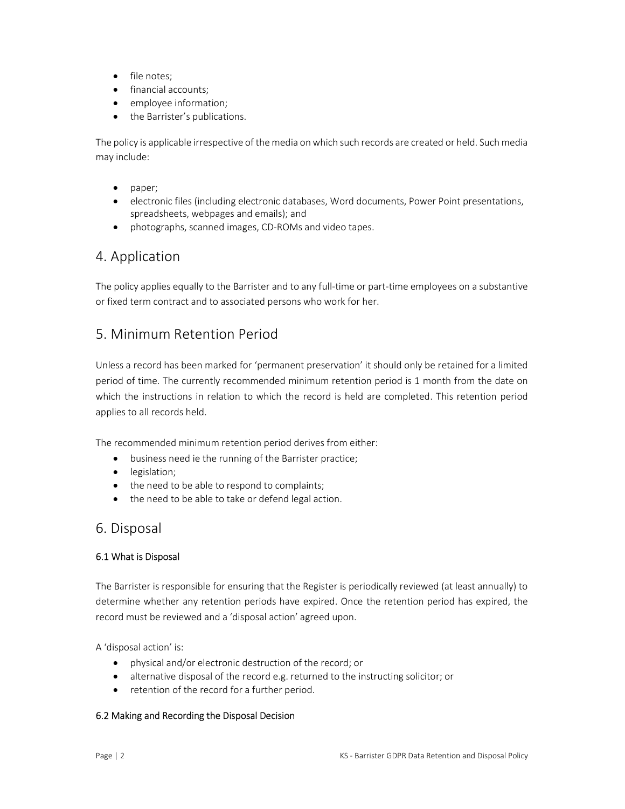- file notes:
- financial accounts;
- employee information;
- the Barrister's publications.

The policy is applicable irrespective of the media on which such records are created or held. Such media may include:

- paper:
- electronic files (including electronic databases, Word documents, Power Point presentations, spreadsheets, webpages and emails); and
- photographs, scanned images, CD-ROMs and video tapes.

### 4. Application

The policy applies equally to the Barrister and to any full-time or part-time employees on a substantive or fixed term contract and to associated persons who work for her.

### 5. Minimum Retention Period

Unless a record has been marked for 'permanent preservation' it should only be retained for a limited period of time. The currently recommended minimum retention period is 1 month from the date on which the instructions in relation to which the record is held are completed. This retention period applies to all records held.

The recommended minimum retention period derives from either:

- business need ie the running of the Barrister practice;
- legislation;
- the need to be able to respond to complaints;
- the need to be able to take or defend legal action.

### 6. Disposal

#### 6.1 What is Disposal

The Barrister is responsible for ensuring that the Register is periodically reviewed (at least annually) to determine whether any retention periods have expired. Once the retention period has expired, the record must be reviewed and a 'disposal action' agreed upon.

A 'disposal action' is:

- physical and/or electronic destruction of the record; or
- alternative disposal of the record e.g. returned to the instructing solicitor; or
- retention of the record for a further period.

#### 6.2 Making and Recording the Disposal Decision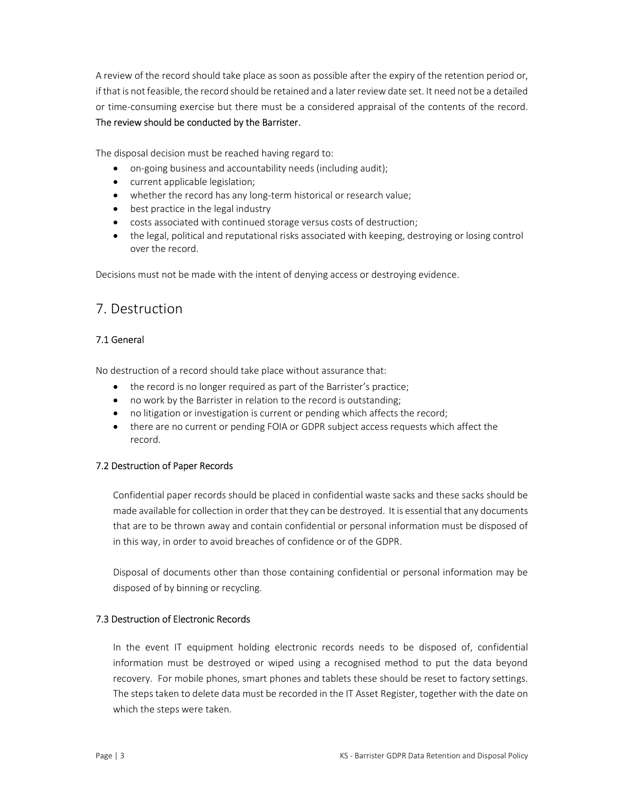A review of the record should take place as soon as possible after the expiry of the retention period or, if that is not feasible, the record should be retained and a later review date set. It need not be a detailed or time-consuming exercise but there must be a considered appraisal of the contents of the record. The review should be conducted by the Barrister.

The disposal decision must be reached having regard to:

- on-going business and accountability needs (including audit);
- current applicable legislation;
- whether the record has any long-term historical or research value;
- best practice in the legal industry
- costs associated with continued storage versus costs of destruction;
- the legal, political and reputational risks associated with keeping, destroying or losing control over the record.

Decisions must not be made with the intent of denying access or destroying evidence.

## 7. Destruction

#### 7.1 General

No destruction of a record should take place without assurance that:

- the record is no longer required as part of the Barrister's practice;
- no work by the Barrister in relation to the record is outstanding;
- no litigation or investigation is current or pending which affects the record;
- there are no current or pending FOIA or GDPR subject access requests which affect the record.

#### 7.2 Destruction of Paper Records

Confidential paper records should be placed in confidential waste sacks and these sacks should be made available for collection in order that they can be destroyed. It is essential that any documents that are to be thrown away and contain confidential or personal information must be disposed of in this way, in order to avoid breaches of confidence or of the GDPR.

Disposal of documents other than those containing confidential or personal information may be disposed of by binning or recycling.

#### 7.3 Destruction of Electronic Records

In the event IT equipment holding electronic records needs to be disposed of, confidential information must be destroyed or wiped using a recognised method to put the data beyond recovery. For mobile phones, smart phones and tablets these should be reset to factory settings. The steps taken to delete data must be recorded in the IT Asset Register, together with the date on which the steps were taken.